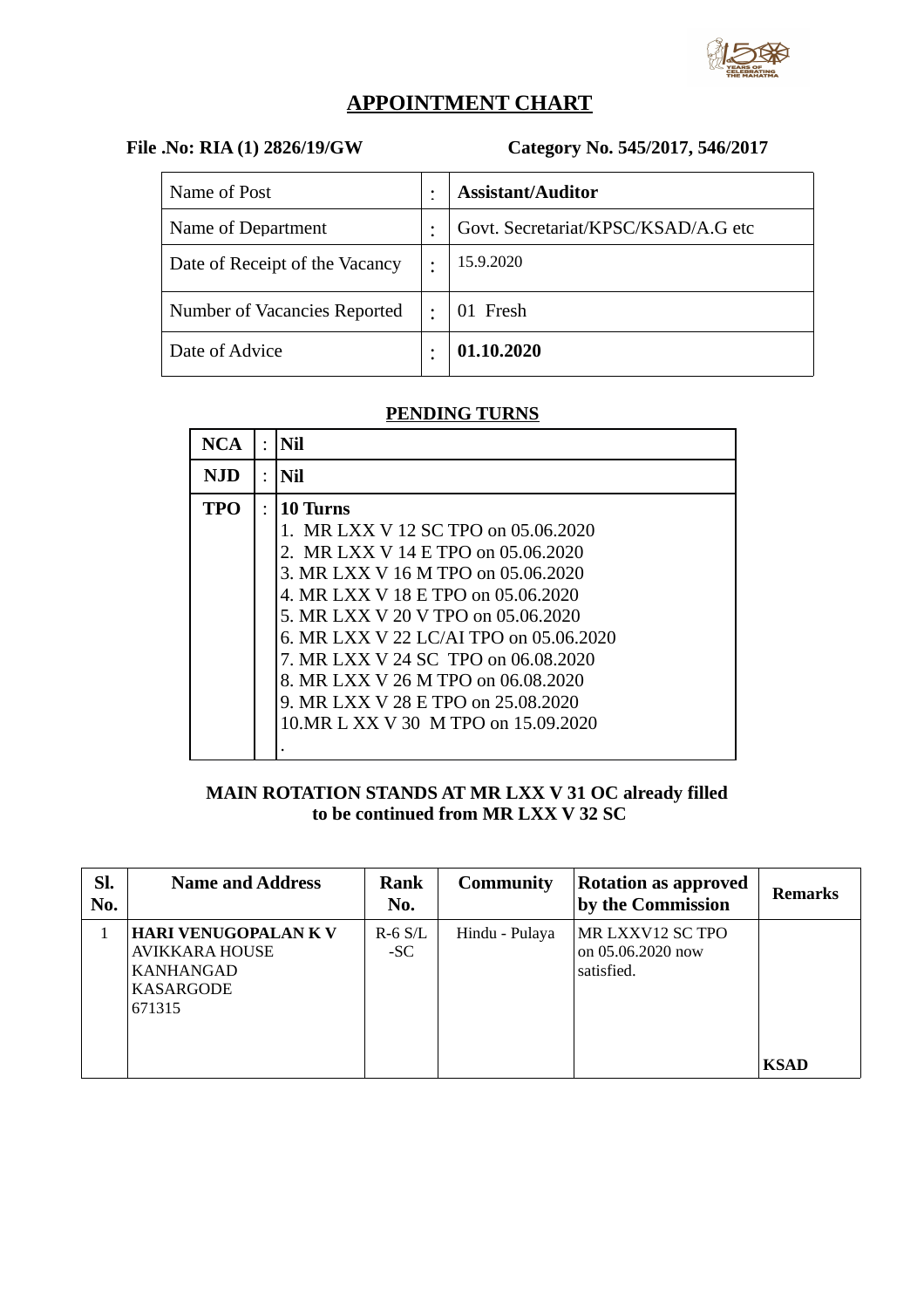

# **APPOINTMENT CHART**

### **File .No: RIA (1) 2826/19/GW Category No. 545/2017, 546/2017**

| Name of Post                   | ٠         | <b>Assistant/Auditor</b>            |
|--------------------------------|-----------|-------------------------------------|
| Name of Department             | ٠         | Govt. Secretariat/KPSC/KSAD/A.G etc |
| Date of Receipt of the Vacancy | ٠         | 15.9.2020                           |
| Number of Vacancies Reported   | $\bullet$ | 01 Fresh                            |
| Date of Advice                 |           | 01.10.2020                          |

#### **PENDING TURNS**

| NCA        | $\bullet$ | Nil                                                                                                                                                                                                                                                                                                                                                                  |
|------------|-----------|----------------------------------------------------------------------------------------------------------------------------------------------------------------------------------------------------------------------------------------------------------------------------------------------------------------------------------------------------------------------|
| NJD        | ٠         | Nil                                                                                                                                                                                                                                                                                                                                                                  |
| <b>TPO</b> | $\bullet$ | 10 Turns<br>1. MR LXX V 12 SC TPO on 05.06.2020<br>2. MR LXX V 14 E TPO on 05.06.2020<br>3. MR LXX V 16 M TPO on 05.06.2020<br>4. MR LXX V 18 E TPO on 05.06.2020<br>5. MR LXX V 20 V TPO on 05.06.2020<br>6. MR LXX V 22 LC/AI TPO on 05.06.2020<br>7. MR LXX V 24 SC TPO on 06.08.2020<br>8. MR LXX V 26 M TPO on 06.08.2020<br>9. MR LXX V 28 E TPO on 25.08.2020 |
|            |           | 10. MR L XX V 30 M TPO on 15.09.2020                                                                                                                                                                                                                                                                                                                                 |

#### **MAIN ROTATION STANDS AT MR LXX V 31 OC already filled to be continued from MR LXX V 32 SC**

| Sl.<br>No. | <b>Name and Address</b>                                                           | Rank<br>No.        | <b>Community</b> | <b>Rotation as approved</b><br>by the Commission    | <b>Remarks</b> |
|------------|-----------------------------------------------------------------------------------|--------------------|------------------|-----------------------------------------------------|----------------|
|            | <b>HARI VENUGOPALAN K V</b><br>AVIKKARA HOUSE<br>KANHANGAD<br>KASARGODE<br>671315 | $R-6$ S/L<br>$-SC$ | Hindu - Pulaya   | MR LXXV12 SC TPO<br>on 05.06.2020 now<br>satisfied. | <b>KSAD</b>    |